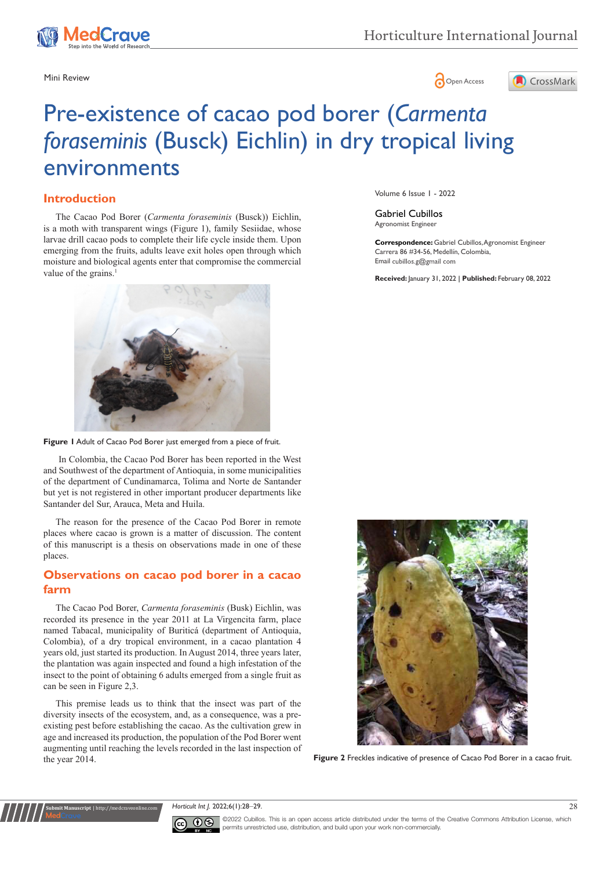

## Mini Review **Open Access**



# Pre-existence of cacao pod borer (*Carmenta foraseminis* (Busck) Eichlin) in dry tropical living environments

## **Introduction**

The Cacao Pod Borer (*Carmenta foraseminis* (Busck)) Eichlin, is a moth with transparent wings (Figure 1), family Sesiidae, whose larvae drill cacao pods to complete their life cycle inside them. Upon emerging from the fruits, adults leave exit holes open through which moisture and biological agents enter that compromise the commercial value of the grains.<sup>1</sup>



**Figure 1** Adult of Cacao Pod Borer just emerged from a piece of fruit.

In Colombia, the Cacao Pod Borer has been reported in the West and Southwest of the department of Antioquia, in some municipalities of the department of Cundinamarca, Tolima and Norte de Santander but yet is not registered in other important producer departments like Santander del Sur, Arauca, Meta and Huila.

The reason for the presence of the Cacao Pod Borer in remote places where cacao is grown is a matter of discussion. The content of this manuscript is a thesis on observations made in one of these places.

## **Observations on cacao pod borer in a cacao farm**

The Cacao Pod Borer, *Carmenta foraseminis* (Busk) Eichlin, was recorded its presence in the year 2011 at La Virgencita farm, place named Tabacal, municipality of Buriticá (department of Antioquia, Colombia), of a dry tropical environment, in a cacao plantation 4 years old, just started its production. In August 2014, three years later, the plantation was again inspected and found a high infestation of the insect to the point of obtaining 6 adults emerged from a single fruit as can be seen in Figure 2,3.

This premise leads us to think that the insect was part of the diversity insects of the ecosystem, and, as a consequence, was a preexisting pest before establishing the cacao. As the cultivation grew in age and increased its production, the population of the Pod Borer went augmenting until reaching the levels recorded in the last inspection of the year 2014. **Figure 2** Freckles indicative of presence of Cacao Pod Borer in a cacao fruit.

**Submit Manuscript** | http://medcraveonline.com

Volume 6 Issue 1 - 2022

Gabriel Cubillos Agronomist Engineer

**Correspondence:** Gabriel Cubillos, Agronomist Engineer Carrera 86 #34-56, Medellín, Colombia, Email cubillos.g@gmail com

**Received:** January 31, 2022 | **Published:** February 08, 2022



*Horticult Int J.* 2022;6(1):28‒29. 28



©2022 Cubillos. This is an open access article distributed under the terms of the [Creative Commons Attribution License](https://creativecommons.org/licenses/by-nc/4.0/), which permits unrestricted use, distribution, and build upon your work non-commercially.